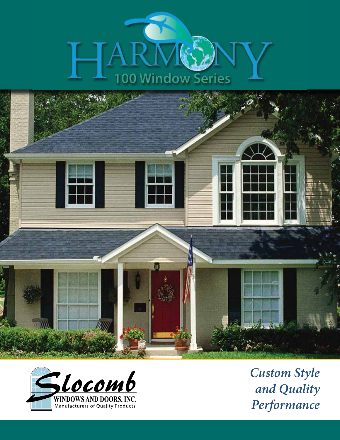





*Custom Style and Quality Performance*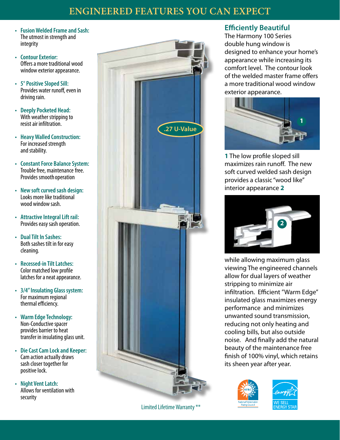# **Engineered Features You Can Expect**

- **• FusionWelded Frameand Sash:** The utmost in strength and integrity
- Contour Exterior: Offers a more traditional wood window exterior appearance.
- **•** 5° Positive Sloped Sill: Provides water runoff, even in driving rain.
- **• Deeply Pocketed Head:** With weather stripping to resist air infiltration.
- **• HeavyWalled Construction:** For increased strength and stability.
- **Constant Force Balance System:** Trouble free, maintenance free. Provides smoothoperation
- **• New soft curved sash design:** Looks more like traditional wood window sash.
- **•** Attractive Integral Lift rail: Provides easy sash operation.
- **• DualTilt In Sashes:** Both sashes tilt in for easy cleaning.
- **• Recessed-in TiltLatches:** Color matched low profile latches for a neat appearance.
- **• 3/4"Insulating Glass system:** For maximum regional thermal efficiency.
- **• WarmEdgeTechnology:** Non-Conductive spacer provides barrier to heat transfer in insulating glass unit.
- **• DieCastCamLockand Keeper:** Cam action actually draws sash closer together for positive lock.
- **• Night VentLatch:** Allows for ventilation with security



Limited Lifetime Warranty \*\*

## **Efficiently Beautiful**

The Harmony 100 Series double hung window is designed to enhance your home's appearance while increasing its comfort level. The contour look of the welded master frame offers a more traditional wood window exterior appearance.



**1** The low profile sloped sill maximizes rain runoff. The new soft curved welded sash design provides a classic "wood like" interior appearance **2**



while allowing maximum glass viewing The engineered channels allow for dual layers of weather stripping to minimize air infiltration. Efficient "Warm Edge" insulated glass maximizes energy performance and minimizes unwanted sound transmission, reducing not only heating and cooling bills, but also outside noise. And finally add the natural beauty of the maintenance free finish of 100% vinyl, which retains its sheen year after year.



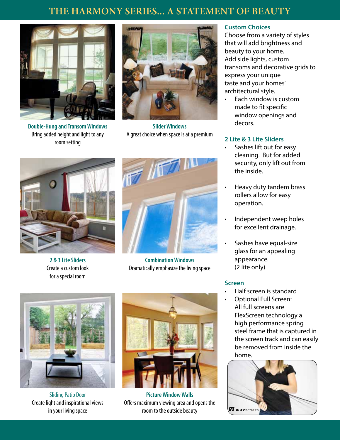# **The harmony Series... A statement of beauty**



**Double-Hung and TransomWindows** Bring added height and light to any room setting



**SliderWindows** A great choice when space is at a premium



**2 & 3 LiteSliders** Create a custom look for a special room



**Combination Windows** Dramatically emphasize the living space



Sliding Patio Door Create light and inspirational views in your living space



**Picture Window Walls** Offers maximum viewing area and opens the room to the outside beauty

### **Custom Choices**

Choose from a variety of styles that will add brightness and beauty to your home. Add side lights, custom transoms and decorative grids to express your unique taste and your homes' architectural style.

Each window is custom made to fit specific window openings and decors.

### **2 Lite & 3 Lite Sliders**

- Sashes lift out for easy cleaning. But for added security, only lift out from the inside.
- • Heavy duty tandem brass rollers allow for easy operation.
- Independent weep holes for excellent drainage.
- Sashes have equal-size glass for an appealing appearance. (2 lite only)

### **Screen**

- Half screen is standard
- Optional Full Screen: All full screens are FlexScreen technology a high performance spring steel frame that is captured in the screen track and can easily be removed from inside the home.